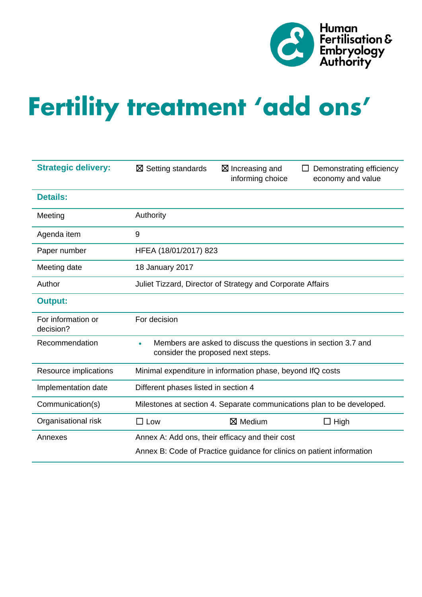

# Fertility treatment 'add ons'

| <b>Strategic delivery:</b>      | $\boxtimes$ Setting standards                                                                      | $\boxtimes$ Increasing and<br>informing choice | Demonstrating efficiency<br>economy and value |
|---------------------------------|----------------------------------------------------------------------------------------------------|------------------------------------------------|-----------------------------------------------|
| <b>Details:</b>                 |                                                                                                    |                                                |                                               |
| Meeting                         | Authority                                                                                          |                                                |                                               |
| Agenda item                     | 9                                                                                                  |                                                |                                               |
| Paper number                    | HFEA (18/01/2017) 823                                                                              |                                                |                                               |
| Meeting date                    | 18 January 2017                                                                                    |                                                |                                               |
| Author                          | Juliet Tizzard, Director of Strategy and Corporate Affairs                                         |                                                |                                               |
| <b>Output:</b>                  |                                                                                                    |                                                |                                               |
| For information or<br>decision? | For decision                                                                                       |                                                |                                               |
| Recommendation                  | Members are asked to discuss the questions in section 3.7 and<br>consider the proposed next steps. |                                                |                                               |
| Resource implications           | Minimal expenditure in information phase, beyond IfQ costs                                         |                                                |                                               |
| Implementation date             | Different phases listed in section 4                                                               |                                                |                                               |
| Communication(s)                | Milestones at section 4. Separate communications plan to be developed.                             |                                                |                                               |
| Organisational risk             | $\square$ Low                                                                                      | ⊠ Medium                                       | $\Box$ High                                   |
| Annexes                         | Annex A: Add ons, their efficacy and their cost                                                    |                                                |                                               |
|                                 | Annex B: Code of Practice guidance for clinics on patient information                              |                                                |                                               |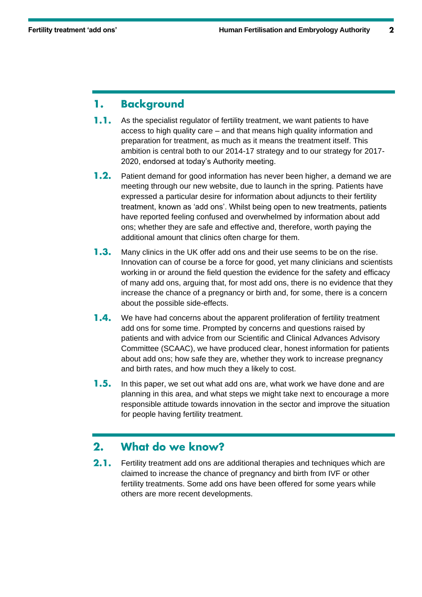#### **Background** 1.

- $1.1.$ As the specialist regulator of fertility treatment, we want patients to have access to high quality care – and that means high quality information and preparation for treatment, as much as it means the treatment itself. This ambition is central both to our 2014-17 strategy and to our strategy for 2017- 2020, endorsed at today's Authority meeting.
- $1.2.$ Patient demand for good information has never been higher, a demand we are meeting through our new website, due to launch in the spring. Patients have expressed a particular desire for information about adjuncts to their fertility treatment, known as 'add ons'. Whilst being open to new treatments, patients have reported feeling confused and overwhelmed by information about add ons; whether they are safe and effective and, therefore, worth paying the additional amount that clinics often charge for them.
- $1.3.$ Many clinics in the UK offer add ons and their use seems to be on the rise. Innovation can of course be a force for good, yet many clinicians and scientists working in or around the field question the evidence for the safety and efficacy of many add ons, arguing that, for most add ons, there is no evidence that they increase the chance of a pregnancy or birth and, for some, there is a concern about the possible side-effects.
- $1.4.$ We have had concerns about the apparent proliferation of fertility treatment add ons for some time. Prompted by concerns and questions raised by patients and with advice from our Scientific and Clinical Advances Advisory Committee (SCAAC), we have produced clear, honest information for patients about add ons; how safe they are, whether they work to increase pregnancy and birth rates, and how much they a likely to cost.
- $1.5.$ In this paper, we set out what add ons are, what work we have done and are planning in this area, and what steps we might take next to encourage a more responsible attitude towards innovation in the sector and improve the situation for people having fertility treatment.

#### $2.$ What do we know?

 $2.1.$ Fertility treatment add ons are additional therapies and techniques which are claimed to increase the chance of pregnancy and birth from IVF or other fertility treatments. Some add ons have been offered for some years while others are more recent developments.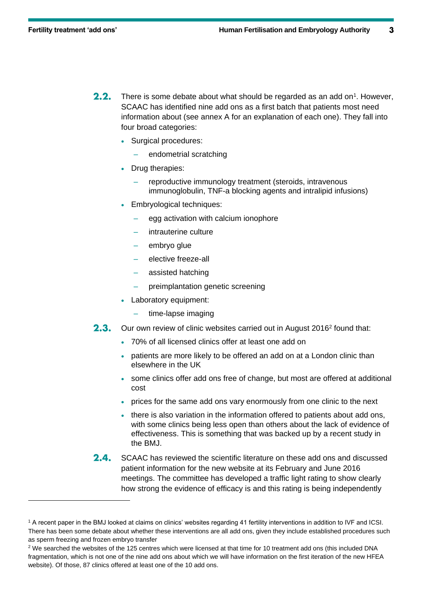$\overline{a}$ 

- $2.2.$ There is some debate about what should be regarded as an add on<sup>1</sup>. However, SCAAC has identified nine add ons as a first batch that patients most need information about (see annex A for an explanation of each one). They fall into four broad categories:
	- Surgical procedures:
		- endometrial scratching
	- Drug therapies:
		- reproductive immunology treatment (steroids, intravenous immunoglobulin, TNF-a blocking agents and intralipid infusions)
	- Embryological techniques:
		- egg activation with calcium ionophore
		- intrauterine culture
		- embryo glue
		- elective freeze-all
		- assisted hatching
		- preimplantation genetic screening
	- Laboratory equipment:
		- time-lapse imaging
- $2.3.$ Our own review of clinic websites carried out in August 2016<sup>2</sup> found that:
	- 70% of all licensed clinics offer at least one add on
	- patients are more likely to be offered an add on at a London clinic than elsewhere in the UK
	- some clinics offer add ons free of change, but most are offered at additional cost
	- prices for the same add ons vary enormously from one clinic to the next
	- there is also variation in the information offered to patients about add ons, with some clinics being less open than others about the lack of evidence of effectiveness. This is something that was backed up by a recent study in the BMJ.
- $2.4.$ SCAAC has reviewed the scientific literature on these add ons and discussed patient information for the new website at its February and June 2016 meetings. The committee has developed a traffic light rating to show clearly how strong the evidence of efficacy is and this rating is being independently

<sup>1</sup> A recent paper in the BMJ looked at claims on clinics' websites regarding 41 fertility interventions in addition to IVF and ICSI. There has been some debate about whether these interventions are all add ons, given they include established procedures such as sperm freezing and frozen embryo transfer

 $2$  We searched the websites of the 125 centres which were licensed at that time for 10 treatment add ons (this included DNA fragmentation, which is not one of the nine add ons about which we will have information on the first iteration of the new HFEA website). Of those, 87 clinics offered at least one of the 10 add ons.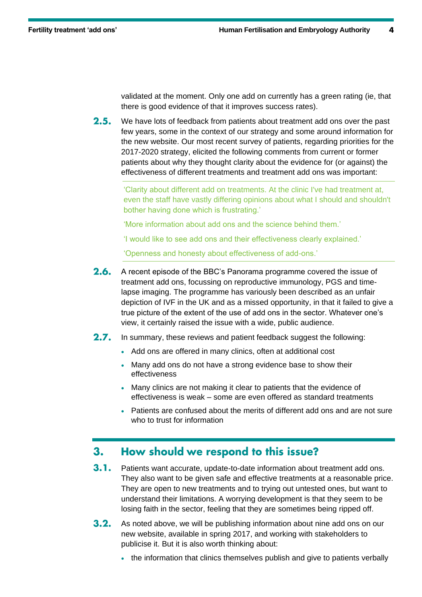validated at the moment. Only one add on currently has a green rating (ie, that there is good evidence of that it improves success rates).

 $2.5.$ We have lots of feedback from patients about treatment add ons over the past few years, some in the context of our strategy and some around information for the new website. Our most recent survey of patients, regarding priorities for the 2017-2020 strategy, elicited the following comments from current or former patients about why they thought clarity about the evidence for (or against) the effectiveness of different treatments and treatment add ons was important:

'Clarity about different add on treatments. At the clinic I've had treatment at, even the staff have vastly differing opinions about what I should and shouldn't bother having done which is frustrating.'

'More information about add ons and the science behind them.'

'I would like to see add ons and their effectiveness clearly explained.'

'Openness and honesty about effectiveness of add-ons.'

- $2.6.$ A recent episode of the BBC's Panorama programme covered the issue of treatment add ons, focussing on reproductive immunology, PGS and timelapse imaging. The programme has variously been described as an unfair depiction of IVF in the UK and as a missed opportunity, in that it failed to give a true picture of the extent of the use of add ons in the sector. Whatever one's view, it certainly raised the issue with a wide, public audience.
- $2.7.$ In summary, these reviews and patient feedback suggest the following:
	- Add ons are offered in many clinics, often at additional cost
	- Many add ons do not have a strong evidence base to show their effectiveness
	- Many clinics are not making it clear to patients that the evidence of effectiveness is weak – some are even offered as standard treatments
	- Patients are confused about the merits of different add ons and are not sure who to trust for information

#### How should we respond to this issue?  $3.$

- $3.1.$ Patients want accurate, update-to-date information about treatment add ons. They also want to be given safe and effective treatments at a reasonable price. They are open to new treatments and to trying out untested ones, but want to understand their limitations. A worrying development is that they seem to be losing faith in the sector, feeling that they are sometimes being ripped off.
- $3.2.$ As noted above, we will be publishing information about nine add ons on our new website, available in spring 2017, and working with stakeholders to publicise it. But it is also worth thinking about:
	- the information that clinics themselves publish and give to patients verbally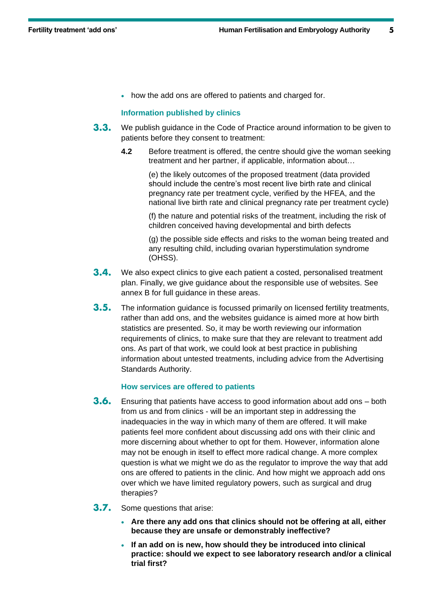• how the add ons are offered to patients and charged for.

# **Information published by clinics**

- $3.3.$ We publish guidance in the Code of Practice around information to be given to patients before they consent to treatment:
	- **4.2** Before treatment is offered, the centre should give the woman seeking treatment and her partner, if applicable, information about…

(e) the likely outcomes of the proposed treatment (data provided should include the centre's most recent live birth rate and clinical pregnancy rate per treatment cycle, verified by the HFEA, and the national live birth rate and clinical pregnancy rate per treatment cycle)

(f) the nature and potential risks of the treatment, including the risk of children conceived having developmental and birth defects

(g) the possible side effects and risks to the woman being treated and any resulting child, including ovarian hyperstimulation syndrome (OHSS).

- $3.4.$ We also expect clinics to give each patient a costed, personalised treatment plan. Finally, we give guidance about the responsible use of websites. See annex B for full guidance in these areas.
- $3.5.$ The information guidance is focussed primarily on licensed fertility treatments, rather than add ons, and the websites guidance is aimed more at how birth statistics are presented. So, it may be worth reviewing our information requirements of clinics, to make sure that they are relevant to treatment add ons. As part of that work, we could look at best practice in publishing information about untested treatments, including advice from the Advertising Standards Authority.

## **How services are offered to patients**

- $3.6.$ Ensuring that patients have access to good information about add ons – both from us and from clinics - will be an important step in addressing the inadequacies in the way in which many of them are offered. It will make patients feel more confident about discussing add ons with their clinic and more discerning about whether to opt for them. However, information alone may not be enough in itself to effect more radical change. A more complex question is what we might we do as the regulator to improve the way that add ons are offered to patients in the clinic. And how might we approach add ons over which we have limited regulatory powers, such as surgical and drug therapies?
- $3.7.$ Some questions that arise:
	- **Are there any add ons that clinics should not be offering at all, either because they are unsafe or demonstrably ineffective?**
	- **If an add on is new, how should they be introduced into clinical practice: should we expect to see laboratory research and/or a clinical trial first?**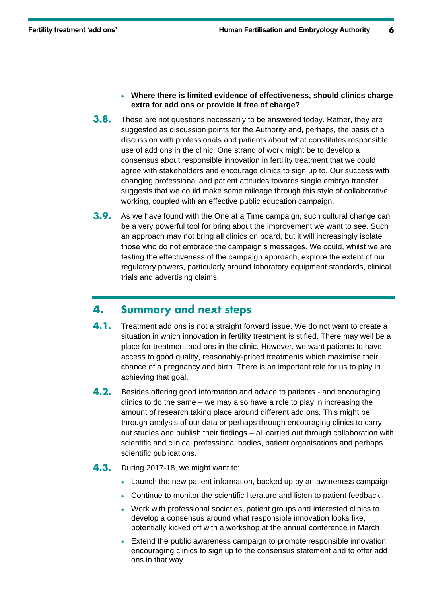- **Where there is limited evidence of effectiveness, should clinics charge extra for add ons or provide it free of charge?**
- $3.8.$ These are not questions necessarily to be answered today. Rather, they are suggested as discussion points for the Authority and, perhaps, the basis of a discussion with professionals and patients about what constitutes responsible use of add ons in the clinic. One strand of work might be to develop a consensus about responsible innovation in fertility treatment that we could agree with stakeholders and encourage clinics to sign up to. Our success with changing professional and patient attitudes towards single embryo transfer suggests that we could make some mileage through this style of collaborative working, coupled with an effective public education campaign.
- $3.9.$ As we have found with the One at a Time campaign, such cultural change can be a very powerful tool for bring about the improvement we want to see. Such an approach may not bring all clinics on board, but it will increasingly isolate those who do not embrace the campaign's messages. We could, whilst we are testing the effectiveness of the campaign approach, explore the extent of our regulatory powers, particularly around laboratory equipment standards, clinical trials and advertising claims.

#### 4. **Summary and next steps**

- $4.1.$ Treatment add ons is not a straight forward issue. We do not want to create a situation in which innovation in fertility treatment is stifled. There may well be a place for treatment add ons in the clinic. However, we want patients to have access to good quality, reasonably-priced treatments which maximise their chance of a pregnancy and birth. There is an important role for us to play in achieving that goal.
- $4.2.$ Besides offering good information and advice to patients - and encouraging clinics to do the same – we may also have a role to play in increasing the amount of research taking place around different add ons. This might be through analysis of our data or perhaps through encouraging clinics to carry out studies and publish their findings – all carried out through collaboration with scientific and clinical professional bodies, patient organisations and perhaps scientific publications.
- $4.3.$ During 2017-18, we might want to:
	- Launch the new patient information, backed up by an awareness campaign
	- Continue to monitor the scientific literature and listen to patient feedback
	- Work with professional societies, patient groups and interested clinics to develop a consensus around what responsible innovation looks like, potentially kicked off with a workshop at the annual conference in March
	- Extend the public awareness campaign to promote responsible innovation, encouraging clinics to sign up to the consensus statement and to offer add ons in that way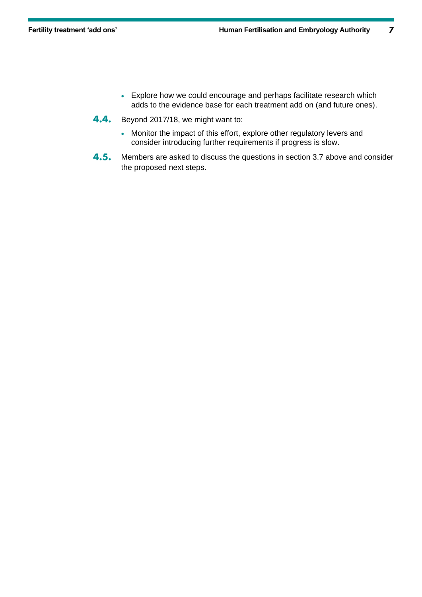- Explore how we could encourage and perhaps facilitate research which adds to the evidence base for each treatment add on (and future ones).
- 4.4. Beyond 2017/18, we might want to:
	- Monitor the impact of this effort, explore other regulatory levers and consider introducing further requirements if progress is slow.
- $4.5.$ Members are asked to discuss the questions in section 3.7 above and consider the proposed next steps.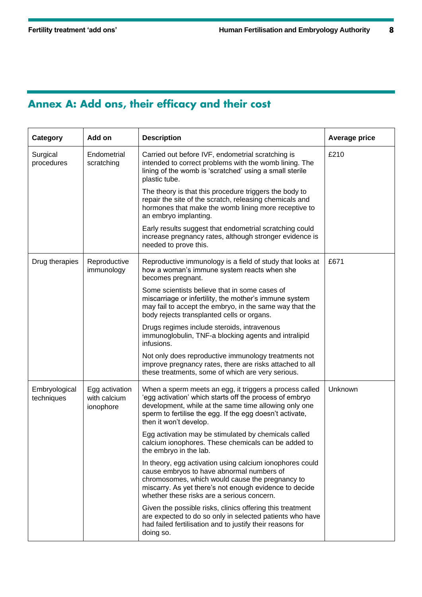# Annex A: Add ons, their efficacy and their cost

| Category                    | Add on                                      | <b>Description</b>                                                                                                                                                                                                                                                | <b>Average price</b> |
|-----------------------------|---------------------------------------------|-------------------------------------------------------------------------------------------------------------------------------------------------------------------------------------------------------------------------------------------------------------------|----------------------|
| Surgical<br>procedures      | Endometrial<br>scratching                   | Carried out before IVF, endometrial scratching is<br>intended to correct problems with the womb lining. The<br>lining of the womb is 'scratched' using a small sterile<br>plastic tube.                                                                           | £210                 |
|                             |                                             | The theory is that this procedure triggers the body to<br>repair the site of the scratch, releasing chemicals and<br>hormones that make the womb lining more receptive to<br>an embryo implanting.                                                                |                      |
|                             |                                             | Early results suggest that endometrial scratching could<br>increase pregnancy rates, although stronger evidence is<br>needed to prove this.                                                                                                                       |                      |
| Drug therapies              | Reproductive<br>immunology                  | Reproductive immunology is a field of study that looks at<br>how a woman's immune system reacts when she<br>becomes pregnant.                                                                                                                                     | £671                 |
|                             |                                             | Some scientists believe that in some cases of<br>miscarriage or infertility, the mother's immune system<br>may fail to accept the embryo, in the same way that the<br>body rejects transplanted cells or organs.                                                  |                      |
|                             |                                             | Drugs regimes include steroids, intravenous<br>immunoglobulin, TNF-a blocking agents and intralipid<br>infusions.                                                                                                                                                 |                      |
|                             |                                             | Not only does reproductive immunology treatments not<br>improve pregnancy rates, there are risks attached to all<br>these treatments, some of which are very serious.                                                                                             |                      |
| Embryological<br>techniques | Egg activation<br>with calcium<br>ionophore | When a sperm meets an egg, it triggers a process called<br>'egg activation' which starts off the process of embryo<br>development, while at the same time allowing only one<br>sperm to fertilise the egg. If the egg doesn't activate,<br>then it won't develop. | Unknown              |
|                             |                                             | Egg activation may be stimulated by chemicals called<br>calcium ionophores. These chemicals can be added to<br>the embryo in the lab.                                                                                                                             |                      |
|                             |                                             | In theory, egg activation using calcium ionophores could<br>cause embryos to have abnormal numbers of<br>chromosomes, which would cause the pregnancy to<br>miscarry. As yet there's not enough evidence to decide<br>whether these risks are a serious concern.  |                      |
|                             |                                             | Given the possible risks, clinics offering this treatment<br>are expected to do so only in selected patients who have<br>had failed fertilisation and to justify their reasons for<br>doing so.                                                                   |                      |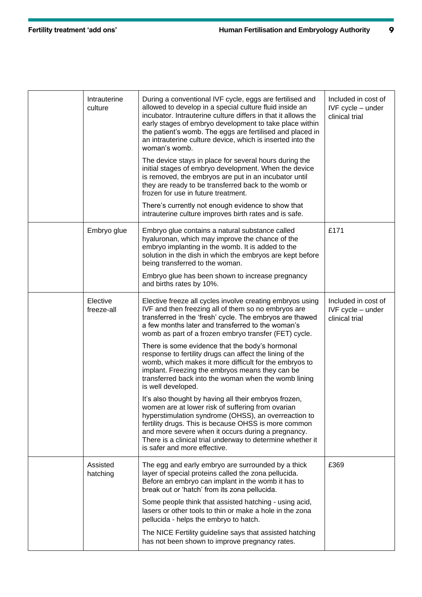| Intrauterine<br>culture | During a conventional IVF cycle, eggs are fertilised and<br>allowed to develop in a special culture fluid inside an<br>incubator. Intrauterine culture differs in that it allows the<br>early stages of embryo development to take place within<br>the patient's womb. The eggs are fertilised and placed in<br>an intrauterine culture device, which is inserted into the<br>woman's womb. | Included in cost of<br>IVF cycle - under<br>clinical trial |
|-------------------------|---------------------------------------------------------------------------------------------------------------------------------------------------------------------------------------------------------------------------------------------------------------------------------------------------------------------------------------------------------------------------------------------|------------------------------------------------------------|
|                         | The device stays in place for several hours during the<br>initial stages of embryo development. When the device<br>is removed, the embryos are put in an incubator until<br>they are ready to be transferred back to the womb or<br>frozen for use in future treatment.                                                                                                                     |                                                            |
|                         | There's currently not enough evidence to show that<br>intrauterine culture improves birth rates and is safe.                                                                                                                                                                                                                                                                                |                                                            |
| Embryo glue             | Embryo glue contains a natural substance called<br>hyaluronan, which may improve the chance of the<br>embryo implanting in the womb. It is added to the<br>solution in the dish in which the embryos are kept before<br>being transferred to the woman.                                                                                                                                     | £171                                                       |
|                         | Embryo glue has been shown to increase pregnancy<br>and births rates by 10%.                                                                                                                                                                                                                                                                                                                |                                                            |
| Elective<br>freeze-all  | Elective freeze all cycles involve creating embryos using<br>IVF and then freezing all of them so no embryos are<br>transferred in the 'fresh' cycle. The embryos are thawed<br>a few months later and transferred to the woman's<br>womb as part of a frozen embryo transfer (FET) cycle.                                                                                                  | Included in cost of<br>IVF cycle - under<br>clinical trial |
|                         | There is some evidence that the body's hormonal<br>response to fertility drugs can affect the lining of the<br>womb, which makes it more difficult for the embryos to<br>implant. Freezing the embryos means they can be<br>transferred back into the woman when the womb lining<br>is well developed.                                                                                      |                                                            |
|                         | It's also thought by having all their embryos frozen,<br>women are at lower risk of suffering from ovarian<br>hyperstimulation syndrome (OHSS), an overreaction to<br>fertility drugs. This is because OHSS is more common<br>and more severe when it occurs during a pregnancy.<br>There is a clinical trial underway to determine whether it<br>is safer and more effective.              |                                                            |
| Assisted<br>hatching    | The egg and early embryo are surrounded by a thick<br>layer of special proteins called the zona pellucida.<br>Before an embryo can implant in the womb it has to<br>break out or 'hatch' from its zona pellucida.                                                                                                                                                                           | £369                                                       |
|                         | Some people think that assisted hatching - using acid,<br>lasers or other tools to thin or make a hole in the zona<br>pellucida - helps the embryo to hatch.                                                                                                                                                                                                                                |                                                            |
|                         | The NICE Fertility guideline says that assisted hatching<br>has not been shown to improve pregnancy rates.                                                                                                                                                                                                                                                                                  |                                                            |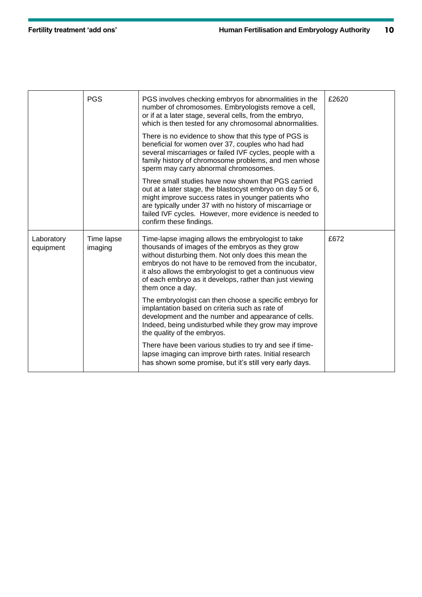|                         | <b>PGS</b>            | PGS involves checking embryos for abnormalities in the<br>number of chromosomes. Embryologists remove a cell,<br>or if at a later stage, several cells, from the embryo,<br>which is then tested for any chromosomal abnormalities.                                                                                                                               | £2620 |
|-------------------------|-----------------------|-------------------------------------------------------------------------------------------------------------------------------------------------------------------------------------------------------------------------------------------------------------------------------------------------------------------------------------------------------------------|-------|
|                         |                       | There is no evidence to show that this type of PGS is<br>beneficial for women over 37, couples who had had<br>several miscarriages or failed IVF cycles, people with a<br>family history of chromosome problems, and men whose<br>sperm may carry abnormal chromosomes.                                                                                           |       |
|                         |                       | Three small studies have now shown that PGS carried<br>out at a later stage, the blastocyst embryo on day 5 or 6,<br>might improve success rates in younger patients who<br>are typically under 37 with no history of miscarriage or<br>failed IVF cycles. However, more evidence is needed to<br>confirm these findings.                                         |       |
| Laboratory<br>equipment | Time lapse<br>imaging | Time-lapse imaging allows the embryologist to take<br>thousands of images of the embryos as they grow<br>without disturbing them. Not only does this mean the<br>embryos do not have to be removed from the incubator,<br>it also allows the embryologist to get a continuous view<br>of each embryo as it develops, rather than just viewing<br>them once a day. | £672  |
|                         |                       | The embryologist can then choose a specific embryo for<br>implantation based on criteria such as rate of<br>development and the number and appearance of cells.<br>Indeed, being undisturbed while they grow may improve<br>the quality of the embryos.                                                                                                           |       |
|                         |                       | There have been various studies to try and see if time-<br>lapse imaging can improve birth rates. Initial research<br>has shown some promise, but it's still very early days.                                                                                                                                                                                     |       |